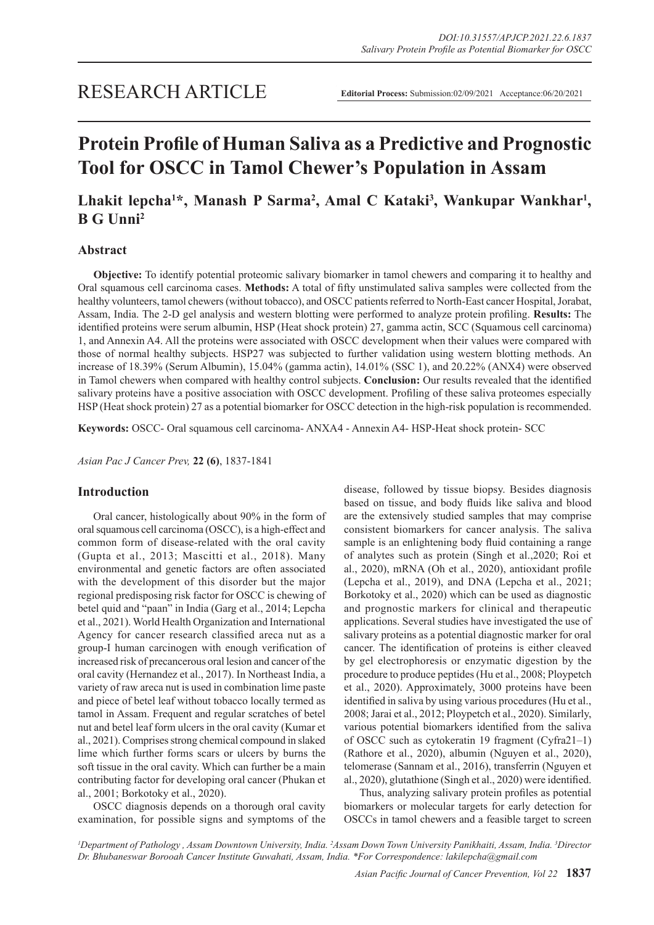# **Protein Profile of Human Saliva as a Predictive and Prognostic Tool for OSCC in Tamol Chewer's Population in Assam**

# Lhakit lepcha<sup>1\*</sup>, Manash P Sarma<sup>2</sup>, Amal C Kataki<sup>3</sup>, Wankupar Wankhar<sup>1</sup>, **B G Unni2**

# **Abstract**

**Objective:** To identify potential proteomic salivary biomarker in tamol chewers and comparing it to healthy and Oral squamous cell carcinoma cases. **Methods:** A total of fifty unstimulated saliva samples were collected from the healthy volunteers, tamol chewers (without tobacco), and OSCC patients referred to North-East cancer Hospital, Jorabat, Assam, India. The 2-D gel analysis and western blotting were performed to analyze protein profiling. **Results:** The identified proteins were serum albumin, HSP (Heat shock protein) 27, gamma actin, SCC (Squamous cell carcinoma) 1, and Annexin A4. All the proteins were associated with OSCC development when their values were compared with those of normal healthy subjects. HSP27 was subjected to further validation using western blotting methods. An increase of 18.39% (Serum Albumin), 15.04% (gamma actin), 14.01% (SSC 1), and 20.22% (ANX4) were observed in Tamol chewers when compared with healthy control subjects. **Conclusion:** Our results revealed that the identified salivary proteins have a positive association with OSCC development. Profiling of these saliva proteomes especially HSP (Heat shock protein) 27 as a potential biomarker for OSCC detection in the high-risk population is recommended.

**Keywords:** OSCC- Oral squamous cell carcinoma- ANXA4 - Annexin A4- HSP-Heat shock protein- SCC

*Asian Pac J Cancer Prev,* **22 (6)**, 1837-1841

# **Introduction**

Oral cancer, histologically about 90% in the form of oral squamous cell carcinoma (OSCC), is a high-effect and common form of disease-related with the oral cavity (Gupta et al., 2013; Mascitti et al., 2018). Many environmental and genetic factors are often associated with the development of this disorder but the major regional predisposing risk factor for OSCC is chewing of betel quid and "paan" in India (Garg et al., 2014; Lepcha et al., 2021). World Health Organization and International Agency for cancer research classified areca nut as a group-I human carcinogen with enough verification of increased risk of precancerous oral lesion and cancer of the oral cavity (Hernandez et al., 2017). In Northeast India, a variety of raw areca nut is used in combination lime paste and piece of betel leaf without tobacco locally termed as tamol in Assam. Frequent and regular scratches of betel nut and betel leaf form ulcers in the oral cavity (Kumar et al., 2021). Comprises strong chemical compound in slaked lime which further forms scars or ulcers by burns the soft tissue in the oral cavity. Which can further be a main contributing factor for developing oral cancer (Phukan et al., 2001; Borkotoky et al., 2020).

OSCC diagnosis depends on a thorough oral cavity examination, for possible signs and symptoms of the

disease, followed by tissue biopsy. Besides diagnosis based on tissue, and body fluids like saliva and blood are the extensively studied samples that may comprise consistent biomarkers for cancer analysis. The saliva sample is an enlightening body fluid containing a range of analytes such as protein (Singh et al.,2020; Roi et al., 2020), mRNA (Oh et al., 2020), antioxidant profile (Lepcha et al., 2019), and DNA (Lepcha et al., 2021; Borkotoky et al., 2020) which can be used as diagnostic and prognostic markers for clinical and therapeutic applications. Several studies have investigated the use of salivary proteins as a potential diagnostic marker for oral cancer. The identification of proteins is either cleaved by gel electrophoresis or enzymatic digestion by the procedure to produce peptides (Hu et al., 2008; Ploypetch et al., 2020). Approximately, 3000 proteins have been identified in saliva by using various procedures (Hu et al., 2008; Jarai et al., 2012; Ploypetch et al., 2020). Similarly, various potential biomarkers identified from the saliva of OSCC such as cytokeratin 19 fragment (Cyfra21–1) (Rathore et al., 2020), albumin (Nguyen et al., 2020), telomerase (Sannam et al., 2016), transferrin (Nguyen et al., 2020), glutathione (Singh et al., 2020) were identified.

Thus, analyzing salivary protein profiles as potential biomarkers or molecular targets for early detection for OSCCs in tamol chewers and a feasible target to screen

<sup>1</sup>Department of Pathology , Assam Downtown University, India. <sup>2</sup>Assam Down Town University Panikhaiti, Assam, India. <sup>3</sup>Director *Dr. Bhubaneswar Borooah Cancer Institute Guwahati, Assam, India. \*For Correspondence: lakilepcha@gmail.com*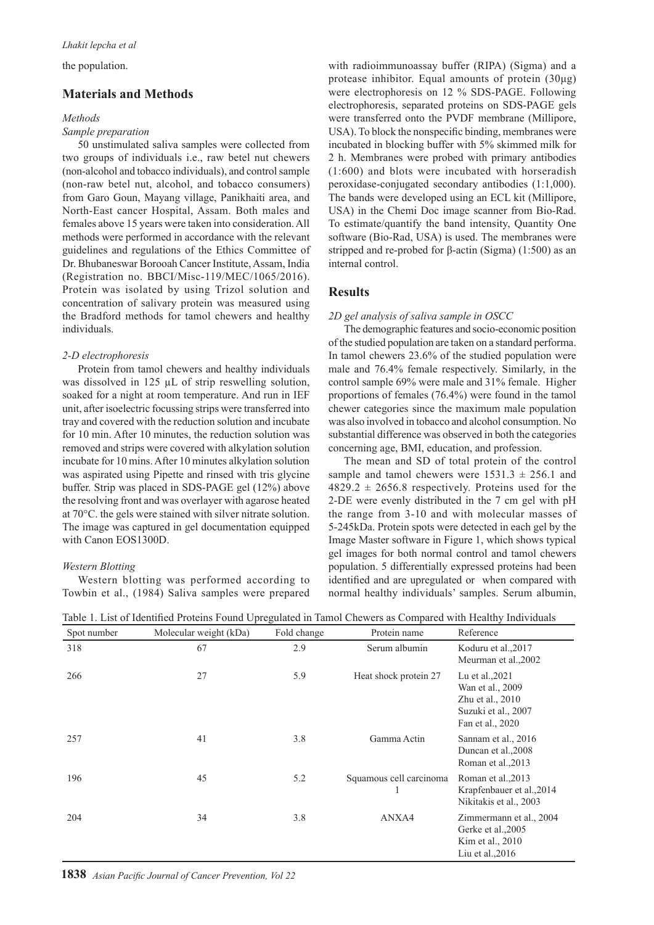the population.

# **Materials and Methods**

#### *Methods*

#### *Sample preparation*

50 unstimulated saliva samples were collected from two groups of individuals i.e., raw betel nut chewers (non-alcohol and tobacco individuals), and control sample (non-raw betel nut, alcohol, and tobacco consumers) from Garo Goun, Mayang village, Panikhaiti area, and North-East cancer Hospital, Assam. Both males and females above 15 years were taken into consideration. All methods were performed in accordance with the relevant guidelines and regulations of the Ethics Committee of Dr. Bhubaneswar Borooah Cancer Institute, Assam, India (Registration no. BBCI/Misc-119/MEC/1065/2016). Protein was isolated by using Trizol solution and concentration of salivary protein was measured using the Bradford methods for tamol chewers and healthy individuals.

#### *2-D electrophoresis*

Protein from tamol chewers and healthy individuals was dissolved in 125 µL of strip reswelling solution, soaked for a night at room temperature. And run in IEF unit, after isoelectric focussing strips were transferred into tray and covered with the reduction solution and incubate for 10 min. After 10 minutes, the reduction solution was removed and strips were covered with alkylation solution incubate for 10 mins. After 10 minutes alkylation solution was aspirated using Pipette and rinsed with tris glycine buffer. Strip was placed in SDS-PAGE gel (12%) above the resolving front and was overlayer with agarose heated at 70°C. the gels were stained with silver nitrate solution. The image was captured in gel documentation equipped with Canon EOS1300D.

#### *Western Blotting*

Western blotting was performed according to Towbin et al., (1984) Saliva samples were prepared with radioimmunoassay buffer (RIPA) (Sigma) and a protease inhibitor. Equal amounts of protein (30μg) were electrophoresis on 12 % SDS-PAGE. Following electrophoresis, separated proteins on SDS-PAGE gels were transferred onto the PVDF membrane (Millipore, USA). To block the nonspecific binding, membranes were incubated in blocking buffer with 5% skimmed milk for 2 h. Membranes were probed with primary antibodies (1:600) and blots were incubated with horseradish peroxidase-conjugated secondary antibodies (1:1,000). The bands were developed using an ECL kit (Millipore, USA) in the Chemi Doc image scanner from Bio-Rad. To estimate/quantify the band intensity, Quantity One software (Bio-Rad, USA) is used. The membranes were stripped and re-probed for β-actin (Sigma) (1:500) as an internal control.

# **Results**

#### *2D gel analysis of saliva sample in OSCC*

The demographic features and socio-economic position of the studied population are taken on a standard performa. In tamol chewers 23.6% of the studied population were male and 76.4% female respectively. Similarly, in the control sample 69% were male and 31% female. Higher proportions of females (76.4%) were found in the tamol chewer categories since the maximum male population was also involved in tobacco and alcohol consumption. No substantial difference was observed in both the categories concerning age, BMI, education, and profession.

The mean and SD of total protein of the control sample and tamol chewers were  $1531.3 \pm 256.1$  and  $4829.2 \pm 2656.8$  respectively. Proteins used for the 2-DE were evenly distributed in the 7 cm gel with pH the range from 3-10 and with molecular masses of 5-245kDa. Protein spots were detected in each gel by the Image Master software in Figure 1, which shows typical gel images for both normal control and tamol chewers population. 5 differentially expressed proteins had been identified and are upregulated or when compared with normal healthy individuals' samples. Serum albumin,

| Spot number | Molecular weight (kDa) | Fold change | Protein name            | Reference                                                                                          |
|-------------|------------------------|-------------|-------------------------|----------------------------------------------------------------------------------------------------|
| 318         | 67                     | 2.9         | Serum albumin           | Koduru et al., 2017<br>Meurman et al., 2002                                                        |
| 266         | 27                     | 5.9         | Heat shock protein 27   | Lu et al., 2021<br>Wan et al., 2009<br>Zhu et al., 2010<br>Suzuki et al., 2007<br>Fan et al., 2020 |
| 257         | 41                     | 3.8         | Gamma Actin             | Sannam et al., 2016<br>Duncan et al., 2008<br>Roman et al., 2013                                   |
| 196         | 45                     | 5.2         | Squamous cell carcinoma | Roman et al., 2013<br>Krapfenbauer et al., 2014<br>Nikitakis et al., 2003                          |
| 204         | 34                     | 3.8         | ANXA4                   | Zimmermann et al., 2004<br>Gerke et al., 2005<br>Kim et al., 2010<br>Liu et al., $2016$            |

Table 1. List of Identified Proteins Found Upregulated in Tamol Chewers as Compared with Healthy Individuals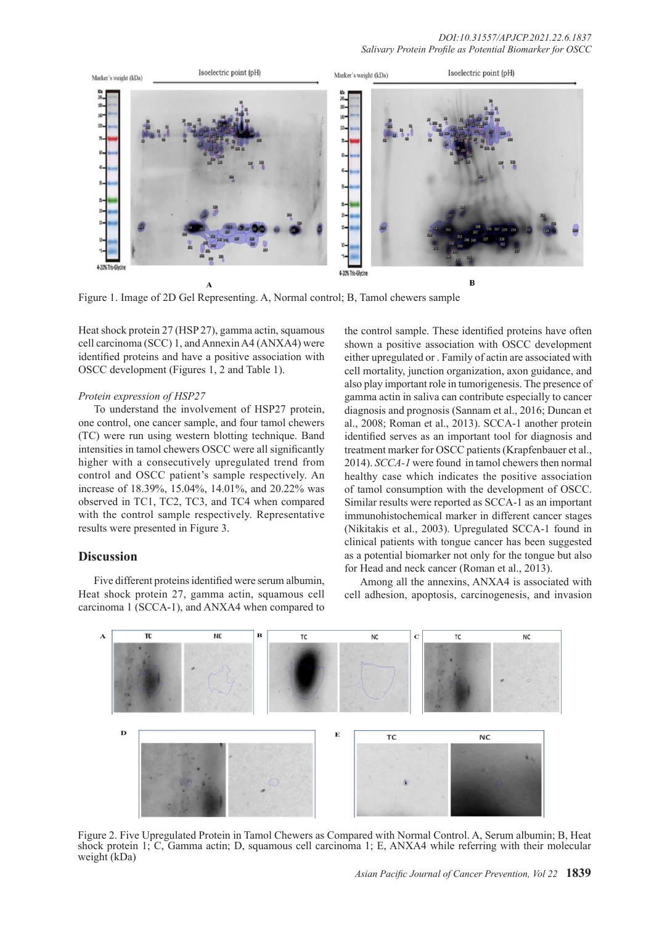

Figure 1. Image of 2D Gel Representing. A, Normal control; B, Tamol chewers sample

Heat shock protein 27 (HSP 27), gamma actin, squamous cell carcinoma (SCC) 1, and Annexin A4 (ANXA4) were identified proteins and have a positive association with OSCC development (Figures 1, 2 and Table 1).

# *Protein expression of HSP27*

To understand the involvement of HSP27 protein, one control, one cancer sample, and four tamol chewers (TC) were run using western blotting technique. Band intensities in tamol chewers OSCC were all significantly higher with a consecutively upregulated trend from control and OSCC patient's sample respectively. An increase of 18.39%, 15.04%, 14.01%, and 20.22% was observed in TC1, TC2, TC3, and TC4 when compared with the control sample respectively. Representative results were presented in Figure 3.

### **Discussion**

Five different proteins identified were serum albumin, Heat shock protein 27, gamma actin, squamous cell carcinoma 1 (SCCA-1), and ANXA4 when compared to the control sample. These identified proteins have often shown a positive association with OSCC development either upregulated or . Family of actin are associated with cell mortality, junction organization, axon guidance, and also play important role in tumorigenesis. The presence of gamma actin in saliva can contribute especially to cancer diagnosis and prognosis (Sannam et al., 2016; Duncan et al., 2008; Roman et al., 2013). SCCA-1 another protein identified serves as an important tool for diagnosis and treatment marker for OSCC patients (Krapfenbauer et al., 2014). *SCCA-1* were found in tamol chewers then normal healthy case which indicates the positive association of tamol consumption with the development of OSCC. Similar results were reported as SCCA-1 as an important immunohistochemical marker in different cancer stages (Nikitakis et al., 2003). Upregulated SCCA-1 found in clinical patients with tongue cancer has been suggested as a potential biomarker not only for the tongue but also for Head and neck cancer (Roman et al., 2013).

Among all the annexins, ANXA4 is associated with cell adhesion, apoptosis, carcinogenesis, and invasion



Figure 2. Five Upregulated Protein in Tamol Chewers as Compared with Normal Control. A, Serum albumin; B, Heat shock protein 1; C, Gamma actin; D, squamous cell carcinoma 1; E, ANXA4 while referring with their molecular weight (kDa)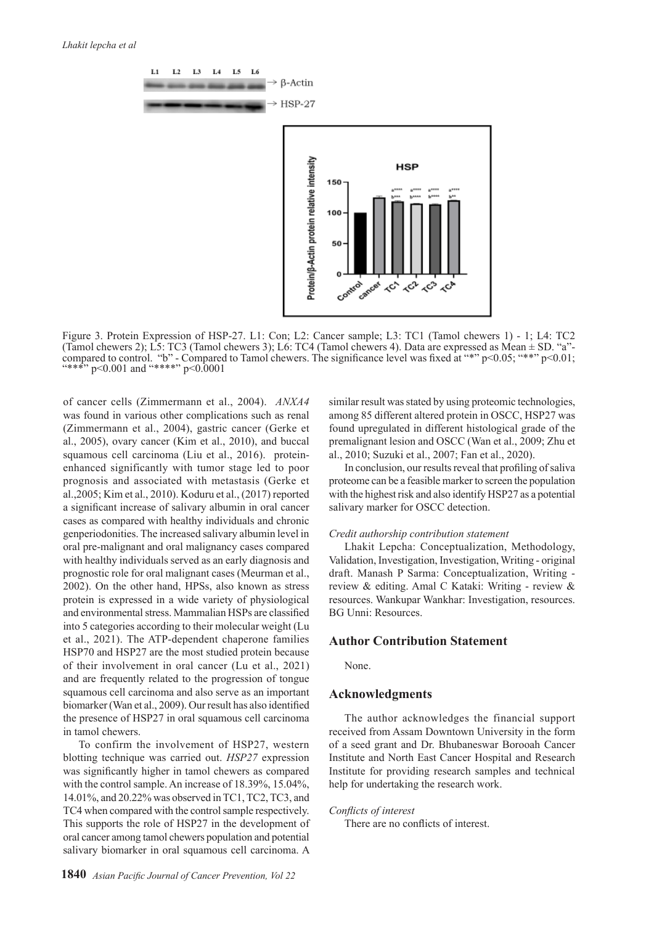

Figure 3. Protein Expression of HSP-27. L1: Con; L2: Cancer sample; L3: TC1 (Tamol chewers 1) - 1; L4: TC2 (Tamol chewers 2); L5: TC3 (Tamol chewers 3); L6: TC4 (Tamol chewers 4). Data are expressed as Mean ± SD. "a" compared to control. "b" - Compared to Tamol chewers. The significance level was fixed at "\*"  $p<0.05$ ; "\*\*"  $p<0.01$ ; "\*\*\*" p<0.001 and "\*\*\*\*" p<0.0001

of cancer cells (Zimmermann et al., 2004). *ANXA4* was found in various other complications such as renal (Zimmermann et al., 2004), gastric cancer (Gerke et al., 2005), ovary cancer (Kim et al., 2010), and buccal squamous cell carcinoma (Liu et al., 2016). proteinenhanced significantly with tumor stage led to poor prognosis and associated with metastasis (Gerke et al.,2005; Kim et al., 2010). Koduru et al., (2017) reported a significant increase of salivary albumin in oral cancer cases as compared with healthy individuals and chronic genperiodonities. The increased salivary albumin level in oral pre-malignant and oral malignancy cases compared with healthy individuals served as an early diagnosis and prognostic role for oral malignant cases (Meurman et al., 2002). On the other hand, HPSs, also known as stress protein is expressed in a wide variety of physiological and environmental stress. Mammalian HSPs are classified into 5 categories according to their molecular weight (Lu et al., 2021). The ATP-dependent chaperone families HSP70 and HSP27 are the most studied protein because of their involvement in oral cancer (Lu et al., 2021) and are frequently related to the progression of tongue squamous cell carcinoma and also serve as an important biomarker (Wan et al., 2009). Our result has also identified the presence of HSP27 in oral squamous cell carcinoma in tamol chewers.

To confirm the involvement of HSP27, western blotting technique was carried out. *HSP27* expression was significantly higher in tamol chewers as compared with the control sample. An increase of 18.39%, 15.04%, 14.01%, and 20.22% was observed in TC1, TC2, TC3, and TC4 when compared with the control sample respectively. This supports the role of HSP27 in the development of oral cancer among tamol chewers population and potential salivary biomarker in oral squamous cell carcinoma. A similar result was stated by using proteomic technologies, among 85 different altered protein in OSCC, HSP27 was found upregulated in different histological grade of the premalignant lesion and OSCC (Wan et al., 2009; Zhu et al., 2010; Suzuki et al., 2007; Fan et al., 2020).

In conclusion, our results reveal that profiling of saliva proteome can be a feasible marker to screen the population with the highest risk and also identify HSP27 as a potential salivary marker for OSCC detection.

#### *Credit authorship contribution statement*

Lhakit Lepcha: Conceptualization, Methodology, Validation, Investigation, Investigation, Writing - original draft. Manash P Sarma: Conceptualization, Writing review & editing. Amal C Kataki: Writing - review & resources. Wankupar Wankhar: Investigation, resources. BG Unni: Resources.

# **Author Contribution Statement**

None.

# **Acknowledgments**

The author acknowledges the financial support received from Assam Downtown University in the form of a seed grant and Dr. Bhubaneswar Borooah Cancer Institute and North East Cancer Hospital and Research Institute for providing research samples and technical help for undertaking the research work.

*Conflicts of interest* There are no conflicts of interest.